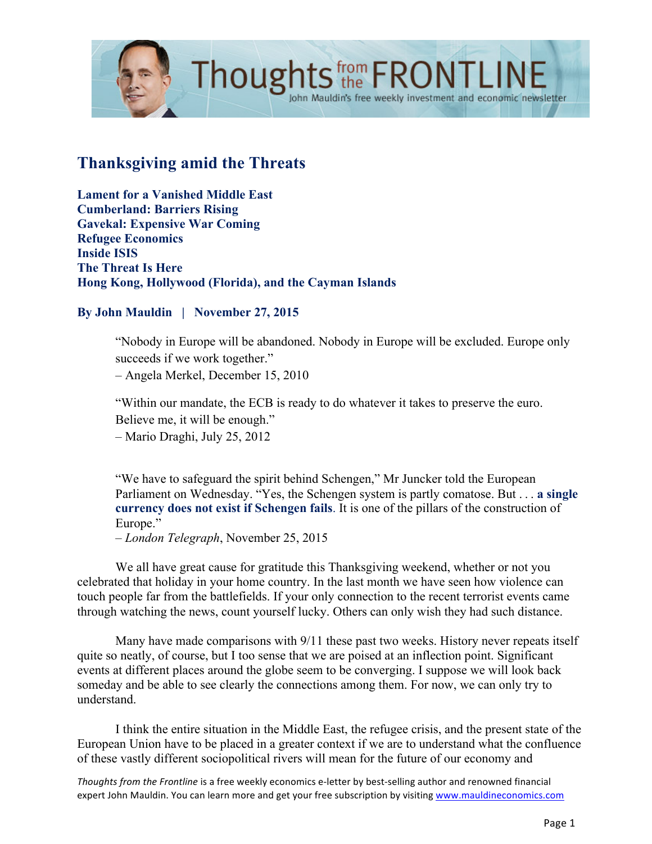

# **Thanksgiving amid the Threats**

**Lament for a Vanished Middle East Cumberland: Barriers Rising Gavekal: Expensive War Coming Refugee Economics Inside ISIS The Threat Is Here Hong Kong, Hollywood (Florida), and the Cayman Islands**

#### **By John Mauldin | November 27, 2015**

"Nobody in Europe will be abandoned. Nobody in Europe will be excluded. Europe only succeeds if we work together."

– Angela Merkel, December 15, 2010

"Within our mandate, the ECB is ready to do whatever it takes to preserve the euro. Believe me, it will be enough." – Mario Draghi, July 25, 2012

"We have to safeguard the spirit behind Schengen," Mr Juncker told the European Parliament on Wednesday. "Yes, the Schengen system is partly comatose. But . . . **a single currency does not exist if Schengen fails**. It is one of the pillars of the construction of Europe."

– *London Telegraph*, November 25, 2015

We all have great cause for gratitude this Thanksgiving weekend, whether or not you celebrated that holiday in your home country. In the last month we have seen how violence can touch people far from the battlefields. If your only connection to the recent terrorist events came through watching the news, count yourself lucky. Others can only wish they had such distance.

Many have made comparisons with 9/11 these past two weeks. History never repeats itself quite so neatly, of course, but I too sense that we are poised at an inflection point. Significant events at different places around the globe seem to be converging. I suppose we will look back someday and be able to see clearly the connections among them. For now, we can only try to understand.

I think the entire situation in the Middle East, the refugee crisis, and the present state of the European Union have to be placed in a greater context if we are to understand what the confluence of these vastly different sociopolitical rivers will mean for the future of our economy and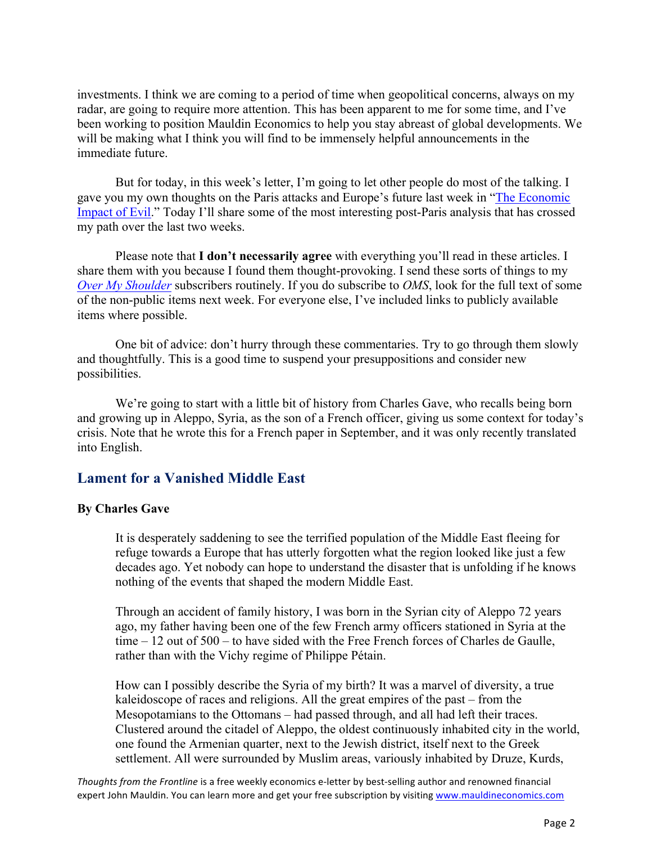investments. I think we are coming to a period of time when geopolitical concerns, always on my radar, are going to require more attention. This has been apparent to me for some time, and I've been working to position Mauldin Economics to help you stay abreast of global developments. We will be making what I think you will find to be immensely helpful announcements in the immediate future.

But for today, in this week's letter, I'm going to let other people do most of the talking. I [gave you my own thoughts on the Paris attacks and Europe's future last week in "The Economic](http://www.mauldineconomics.com/frontlinethoughts/the-economic-impact-of-evil)  Impact of Evil." Today I'll share some of the most interesting post-Paris analysis that has crossed my path over the last two weeks.

Please note that **I don't necessarily agree** with everything you'll read in these articles. I share them with you because I found them thought-provoking. I send these sorts of things to my *[Over My Shoulder](https://www.mauldineconomics.com/order/sku/SU-00OMS/)* subscribers routinely. If you do subscribe to *OMS*, look for the full text of some of the non-public items next week. For everyone else, I've included links to publicly available items where possible.

One bit of advice: don't hurry through these commentaries. Try to go through them slowly and thoughtfully. This is a good time to suspend your presuppositions and consider new possibilities.

We're going to start with a little bit of history from Charles Gave, who recalls being born and growing up in Aleppo, Syria, as the son of a French officer, giving us some context for today's crisis. Note that he wrote this for a French paper in September, and it was only recently translated into English.

# **Lament for a Vanished Middle East**

### **By Charles Gave**

It is desperately saddening to see the terrified population of the Middle East fleeing for refuge towards a Europe that has utterly forgotten what the region looked like just a few decades ago. Yet nobody can hope to understand the disaster that is unfolding if he knows nothing of the events that shaped the modern Middle East.

Through an accident of family history, I was born in the Syrian city of Aleppo 72 years ago, my father having been one of the few French army officers stationed in Syria at the time – 12 out of 500 – to have sided with the Free French forces of Charles de Gaulle, rather than with the Vichy regime of Philippe Pétain.

How can I possibly describe the Syria of my birth? It was a marvel of diversity, a true kaleidoscope of races and religions. All the great empires of the past – from the Mesopotamians to the Ottomans – had passed through, and all had left their traces. Clustered around the citadel of Aleppo, the oldest continuously inhabited city in the world, one found the Armenian quarter, next to the Jewish district, itself next to the Greek settlement. All were surrounded by Muslim areas, variously inhabited by Druze, Kurds,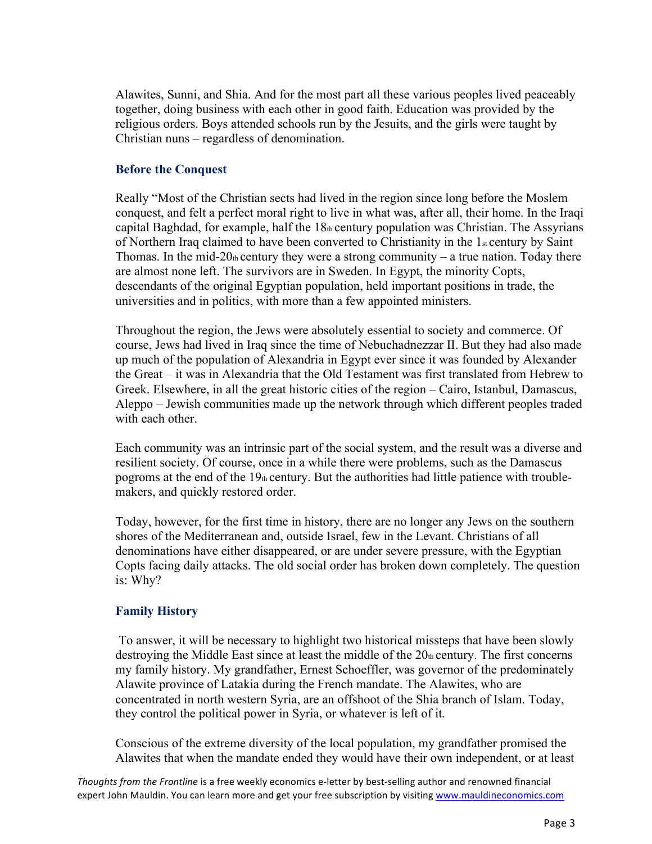Alawites, Sunni, and Shia. And for the most part all these various peoples lived peaceably together, doing business with each other in good faith. Education was provided by the religious orders. Boys attended schools run by the Jesuits, and the girls were taught by Christian nuns – regardless of denomination.

### **Before the Conquest**

Really "Most of the Christian sects had lived in the region since long before the Moslem conquest, and felt a perfect moral right to live in what was, after all, their home. In the Iraqi capital Baghdad, for example, half the 18th century population was Christian. The Assyrians of Northern Iraq claimed to have been converted to Christianity in the 1st century by Saint Thomas. In the mid-20th century they were a strong community – a true nation. Today there are almost none left. The survivors are in Sweden. In Egypt, the minority Copts, descendants of the original Egyptian population, held important positions in trade, the universities and in politics, with more than a few appointed ministers.

Throughout the region, the Jews were absolutely essential to society and commerce. Of course, Jews had lived in Iraq since the time of Nebuchadnezzar II. But they had also made up much of the population of Alexandria in Egypt ever since it was founded by Alexander the Great – it was in Alexandria that the Old Testament was first translated from Hebrew to Greek. Elsewhere, in all the great historic cities of the region – Cairo, Istanbul, Damascus, Aleppo – Jewish communities made up the network through which different peoples traded with each other

Each community was an intrinsic part of the social system, and the result was a diverse and resilient society. Of course, once in a while there were problems, such as the Damascus pogroms at the end of the 19th century. But the authorities had little patience with troublemakers, and quickly restored order.

Today, however, for the first time in history, there are no longer any Jews on the southern shores of the Mediterranean and, outside Israel, few in the Levant. Christians of all denominations have either disappeared, or are under severe pressure, with the Egyptian Copts facing daily attacks. The old social order has broken down completely. The question is: Why?

### **Family History**

To answer, it will be necessary to highlight two historical missteps that have been slowly destroying the Middle East since at least the middle of the 20th century. The first concerns my family history. My grandfather, Ernest Schoeffler, was governor of the predominately Alawite province of Latakia during the French mandate. The Alawites, who are concentrated in north western Syria, are an offshoot of the Shia branch of Islam. Today, they control the political power in Syria, or whatever is left of it.

Conscious of the extreme diversity of the local population, my grandfather promised the Alawites that when the mandate ended they would have their own independent, or at least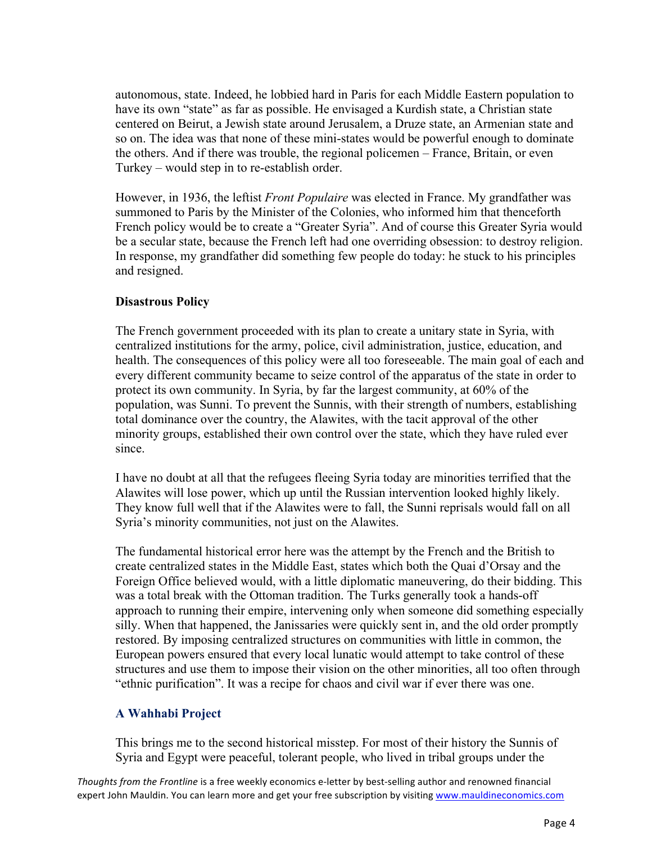autonomous, state. Indeed, he lobbied hard in Paris for each Middle Eastern population to have its own "state" as far as possible. He envisaged a Kurdish state, a Christian state centered on Beirut, a Jewish state around Jerusalem, a Druze state, an Armenian state and so on. The idea was that none of these mini-states would be powerful enough to dominate the others. And if there was trouble, the regional policemen – France, Britain, or even Turkey – would step in to re-establish order.

However, in 1936, the leftist *Front Populaire* was elected in France. My grandfather was summoned to Paris by the Minister of the Colonies, who informed him that thenceforth French policy would be to create a "Greater Syria". And of course this Greater Syria would be a secular state, because the French left had one overriding obsession: to destroy religion. In response, my grandfather did something few people do today: he stuck to his principles and resigned.

#### **Disastrous Policy**

The French government proceeded with its plan to create a unitary state in Syria, with centralized institutions for the army, police, civil administration, justice, education, and health. The consequences of this policy were all too foreseeable. The main goal of each and every different community became to seize control of the apparatus of the state in order to protect its own community. In Syria, by far the largest community, at 60% of the population, was Sunni. To prevent the Sunnis, with their strength of numbers, establishing total dominance over the country, the Alawites, with the tacit approval of the other minority groups, established their own control over the state, which they have ruled ever since.

I have no doubt at all that the refugees fleeing Syria today are minorities terrified that the Alawites will lose power, which up until the Russian intervention looked highly likely. They know full well that if the Alawites were to fall, the Sunni reprisals would fall on all Syria's minority communities, not just on the Alawites.

The fundamental historical error here was the attempt by the French and the British to create centralized states in the Middle East, states which both the Quai d'Orsay and the Foreign Office believed would, with a little diplomatic maneuvering, do their bidding. This was a total break with the Ottoman tradition. The Turks generally took a hands-off approach to running their empire, intervening only when someone did something especially silly. When that happened, the Janissaries were quickly sent in, and the old order promptly restored. By imposing centralized structures on communities with little in common, the European powers ensured that every local lunatic would attempt to take control of these structures and use them to impose their vision on the other minorities, all too often through "ethnic purification". It was a recipe for chaos and civil war if ever there was one.

### **A Wahhabi Project**

This brings me to the second historical misstep. For most of their history the Sunnis of Syria and Egypt were peaceful, tolerant people, who lived in tribal groups under the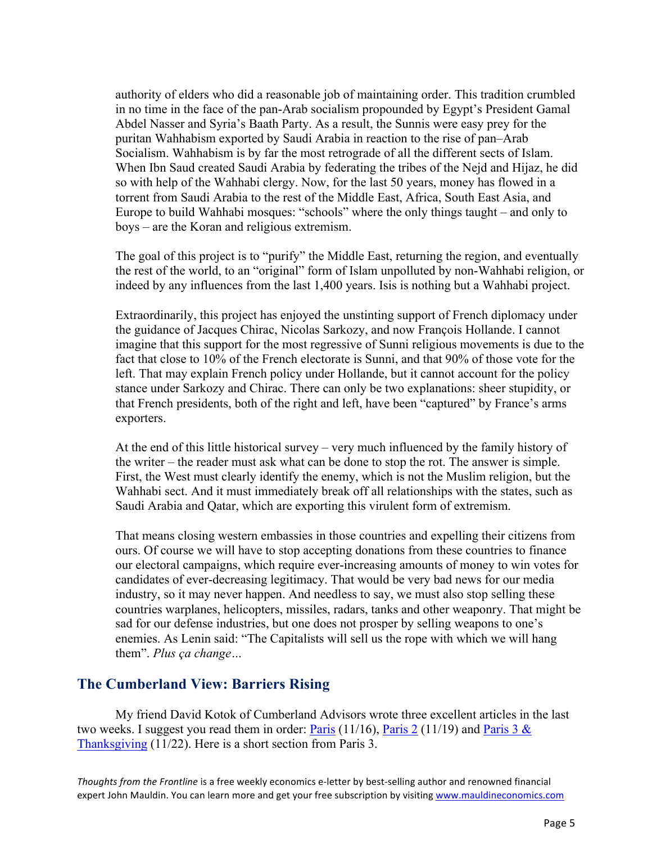authority of elders who did a reasonable job of maintaining order. This tradition crumbled in no time in the face of the pan-Arab socialism propounded by Egypt's President Gamal Abdel Nasser and Syria's Baath Party. As a result, the Sunnis were easy prey for the puritan Wahhabism exported by Saudi Arabia in reaction to the rise of pan–Arab Socialism. Wahhabism is by far the most retrograde of all the different sects of Islam. When Ibn Saud created Saudi Arabia by federating the tribes of the Nejd and Hijaz, he did so with help of the Wahhabi clergy. Now, for the last 50 years, money has flowed in a torrent from Saudi Arabia to the rest of the Middle East, Africa, South East Asia, and Europe to build Wahhabi mosques: "schools" where the only things taught – and only to boys – are the Koran and religious extremism.

The goal of this project is to "purify" the Middle East, returning the region, and eventually the rest of the world, to an "original" form of Islam unpolluted by non-Wahhabi religion, or indeed by any influences from the last 1,400 years. Isis is nothing but a Wahhabi project.

Extraordinarily, this project has enjoyed the unstinting support of French diplomacy under the guidance of Jacques Chirac, Nicolas Sarkozy, and now François Hollande. I cannot imagine that this support for the most regressive of Sunni religious movements is due to the fact that close to 10% of the French electorate is Sunni, and that 90% of those vote for the left. That may explain French policy under Hollande, but it cannot account for the policy stance under Sarkozy and Chirac. There can only be two explanations: sheer stupidity, or that French presidents, both of the right and left, have been "captured" by France's arms exporters.

At the end of this little historical survey – very much influenced by the family history of the writer – the reader must ask what can be done to stop the rot. The answer is simple. First, the West must clearly identify the enemy, which is not the Muslim religion, but the Wahhabi sect. And it must immediately break off all relationships with the states, such as Saudi Arabia and Qatar, which are exporting this virulent form of extremism.

That means closing western embassies in those countries and expelling their citizens from ours. Of course we will have to stop accepting donations from these countries to finance our electoral campaigns, which require ever-increasing amounts of money to win votes for candidates of ever-decreasing legitimacy. That would be very bad news for our media industry, so it may never happen. And needless to say, we must also stop selling these countries warplanes, helicopters, missiles, radars, tanks and other weaponry. That might be sad for our defense industries, but one does not prosper by selling weapons to one's enemies. As Lenin said: "The Capitalists will sell us the rope with which we will hang them". *Plus ça change…*

# **The Cumberland View: Barriers Rising**

My friend David Kotok of Cumberland Advisors wrote three excellent articles in the last two weeks. I suggest you read them in order[: Paris](http://www.cumber.com/paris/)  $(11/16)$ , [Paris](http://www.cumber.com/paris-2/) 2  $(11/19)$  and Paris 3  $\&$ [Thanksgiving](http://www.cumber.com/paris-3-and-thanksgiving/) (11/22). Here is a short section from Paris 3.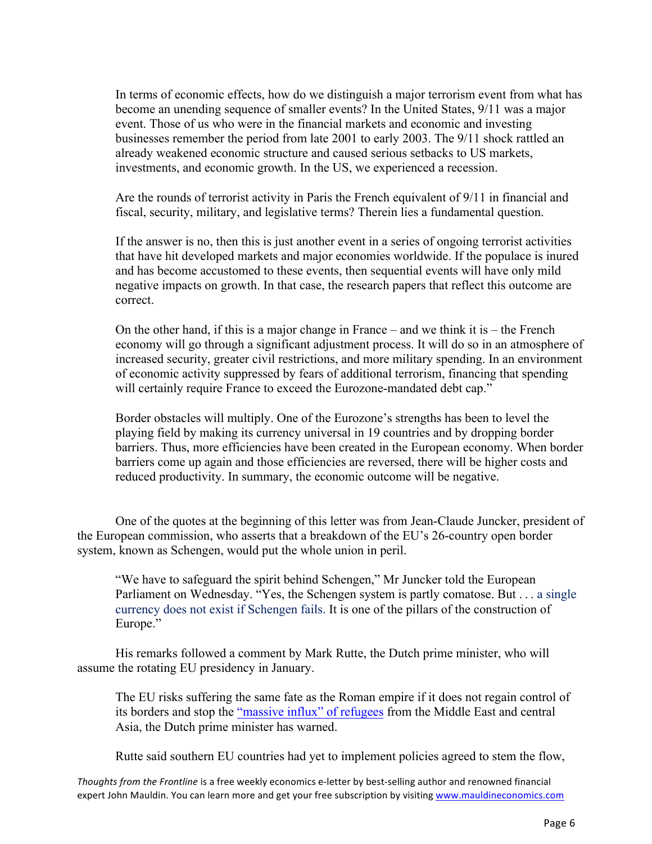In terms of economic effects, how do we distinguish a major terrorism event from what has become an unending sequence of smaller events? In the United States, 9/11 was a major event. Those of us who were in the financial markets and economic and investing businesses remember the period from late 2001 to early 2003. The 9/11 shock rattled an already weakened economic structure and caused serious setbacks to US markets, investments, and economic growth. In the US, we experienced a recession.

Are the rounds of terrorist activity in Paris the French equivalent of 9/11 in financial and fiscal, security, military, and legislative terms? Therein lies a fundamental question.

If the answer is no, then this is just another event in a series of ongoing terrorist activities that have hit developed markets and major economies worldwide. If the populace is inured and has become accustomed to these events, then sequential events will have only mild negative impacts on growth. In that case, the research papers that reflect this outcome are correct.

On the other hand, if this is a major change in France – and we think it is – the French economy will go through a significant adjustment process. It will do so in an atmosphere of increased security, greater civil restrictions, and more military spending. In an environment of economic activity suppressed by fears of additional terrorism, financing that spending will certainly require France to exceed the Eurozone-mandated debt cap."

Border obstacles will multiply. One of the Eurozone's strengths has been to level the playing field by making its currency universal in 19 countries and by dropping border barriers. Thus, more efficiencies have been created in the European economy. When border barriers come up again and those efficiencies are reversed, there will be higher costs and reduced productivity. In summary, the economic outcome will be negative.

One of the quotes at the beginning of this letter was from Jean-Claude Juncker, president of the European commission, who asserts that a breakdown of the EU's 26-country open border system, known as Schengen, would put the whole union in peril.

"We have to safeguard the spirit behind Schengen," Mr Juncker told the European Parliament on Wednesday. "Yes, the Schengen system is partly comatose. But . . . a single currency does not exist if Schengen fails. It is one of the pillars of the construction of Europe."

His remarks followed a comment by Mark Rutte, the Dutch prime minister, who will assume the rotating EU presidency in January.

The EU risks suffering the same fate as the Roman empire if it does not regain control of its borders and stop the ["massive influx" of refugees](http://www.ft.com/topics/themes/EU_immigration) from the Middle East and central Asia, the Dutch prime minister has warned.

Rutte said southern EU countries had yet to implement policies agreed to stem the flow,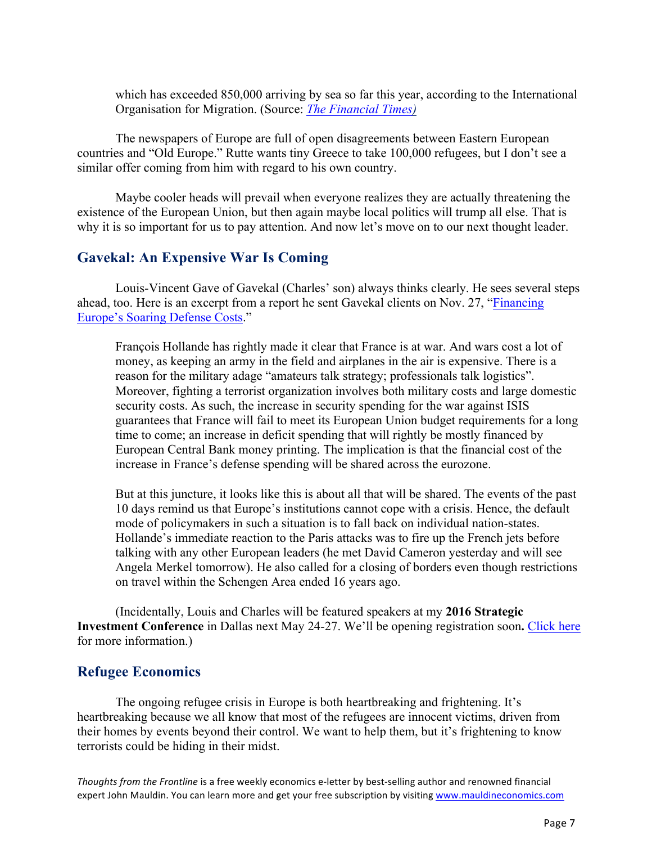which has exceeded 850,000 arriving by sea so far this year, according to the International Organisation for Migration. (Source: *[The Financial Times\)](http://www.ft.com/intl/cms/s/0/659694fe-9440-11e5-b190-291e94b77c8f.html)*

The newspapers of Europe are full of open disagreements between Eastern European countries and "Old Europe." Rutte wants tiny Greece to take 100,000 refugees, but I don't see a similar offer coming from him with regard to his own country.

Maybe cooler heads will prevail when everyone realizes they are actually threatening the existence of the European Union, but then again maybe local politics will trump all else. That is why it is so important for us to pay attention. And now let's move on to our next thought leader.

# **Gavekal: An Expensive War Is Coming**

Louis-Vincent Gave of Gavekal (Charles' son) always thinks clearly. He sees several steps [ahead, too. Here is an excerpt from a report he sent Gavekal clients on Nov. 27, "Financing](http://research.gavekal.com/article/financing-europe%E2%80%99s-soaring-defense-costs)  Europe's Soaring Defense Costs."

François Hollande has rightly made it clear that France is at war. And wars cost a lot of money, as keeping an army in the field and airplanes in the air is expensive. There is a reason for the military adage "amateurs talk strategy; professionals talk logistics". Moreover, fighting a terrorist organization involves both military costs and large domestic security costs. As such, the increase in security spending for the war against ISIS guarantees that France will fail to meet its European Union budget requirements for a long time to come; an increase in deficit spending that will rightly be mostly financed by European Central Bank money printing. The implication is that the financial cost of the increase in France's defense spending will be shared across the eurozone.

But at this juncture, it looks like this is about all that will be shared. The events of the past 10 days remind us that Europe's institutions cannot cope with a crisis. Hence, the default mode of policymakers in such a situation is to fall back on individual nation-states. Hollande's immediate reaction to the Paris attacks was to fire up the French jets before talking with any other European leaders (he met David Cameron yesterday and will see Angela Merkel tomorrow). He also called for a closing of borders even though restrictions on travel within the Schengen Area ended 16 years ago.

(Incidentally, Louis and Charles will be featured speakers at my **2016 Strategic Investment Conference** in Dallas next May 24-27. We'll be opening registration soon**.** [Click here](http://www.mauldineconomics.com/go/uutrn-2/MEC?utm_medium=subscribers&utm_source=frt&utm_campaign=SIC&utm_content=list) for more information.)

# **Refugee Economics**

The ongoing refugee crisis in Europe is both heartbreaking and frightening. It's heartbreaking because we all know that most of the refugees are innocent victims, driven from their homes by events beyond their control. We want to help them, but it's frightening to know terrorists could be hiding in their midst.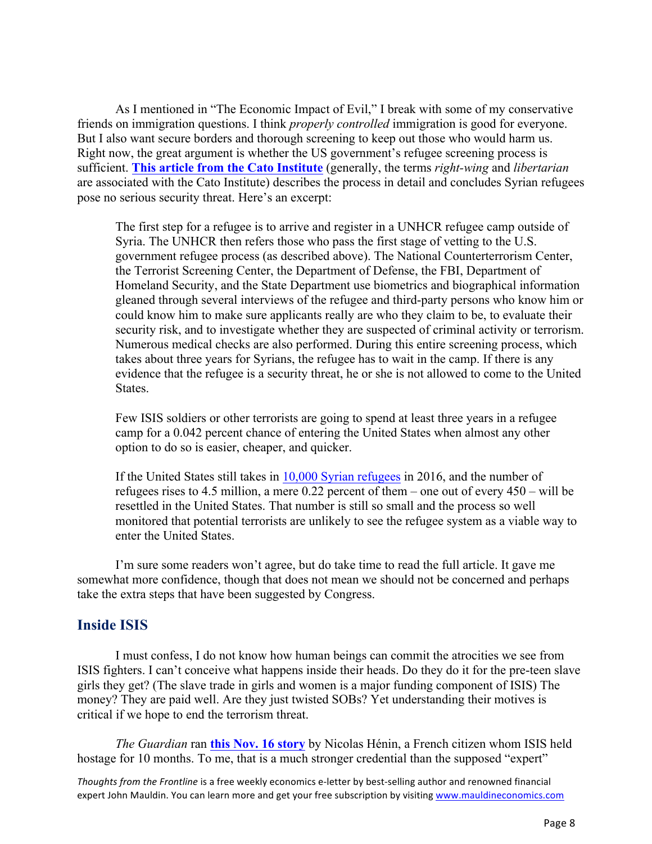As I mentioned in "The Economic Impact of Evil," I break with some of my conservative friends on immigration questions. I think *properly controlled* immigration is good for everyone. But I also want secure borders and thorough screening to keep out those who would harm us. Right now, the great argument is whether the US government's refugee screening process is sufficient. **[This article from the Cato Institute](http://www.cato.org/blog/syrian-refugees-dont-pose-serious-security-threat)** (generally, the terms *right-wing* and *libertarian* are associated with the Cato Institute) describes the process in detail and concludes Syrian refugees pose no serious security threat. Here's an excerpt:

The first step for a refugee is to arrive and register in a UNHCR refugee camp outside of Syria. The UNHCR then refers those who pass the first stage of vetting to the U.S. government refugee process (as described above). The National Counterterrorism Center, the Terrorist Screening Center, the Department of Defense, the FBI, Department of Homeland Security, and the State Department use biometrics and biographical information gleaned through several interviews of the refugee and third-party persons who know him or could know him to make sure applicants really are who they claim to be, to evaluate their security risk, and to investigate whether they are suspected of criminal activity or terrorism. Numerous medical checks are also performed. During this entire screening process, which takes about three years for Syrians, the refugee has to wait in the camp. If there is any evidence that the refugee is a security threat, he or she is not allowed to come to the United States.

Few ISIS soldiers or other terrorists are going to spend at least three years in a refugee camp for a 0.042 percent chance of entering the United States when almost any other option to do so is easier, cheaper, and quicker.

If the United States still takes in [10,000 Syrian refugees](http://www.voanews.com/content/us-to-resettle-85000-refugees-in-fy-2016/2972001.html) in 2016, and the number of refugees rises to 4.5 million, a mere 0.22 percent of them – one out of every 450 – will be resettled in the United States. That number is still so small and the process so well monitored that potential terrorists are unlikely to see the refugee system as a viable way to enter the United States.

I'm sure some readers won't agree, but do take time to read the full article. It gave me somewhat more confidence, though that does not mean we should not be concerned and perhaps take the extra steps that have been suggested by Congress.

### **Inside ISIS**

I must confess, I do not know how human beings can commit the atrocities we see from ISIS fighters. I can't conceive what happens inside their heads. Do they do it for the pre-teen slave girls they get? (The slave trade in girls and women is a major funding component of ISIS) The money? They are paid well. Are they just twisted SOBs? Yet understanding their motives is critical if we hope to end the terrorism threat.

*The Guardian* ran **[this Nov. 16 story](http://www.theguardian.com/commentisfree/2015/nov/16/isis-bombs-hostage-syria-islamic-state-paris-attacks)** by Nicolas Hénin, a French citizen whom ISIS held hostage for 10 months. To me, that is a much stronger credential than the supposed "expert"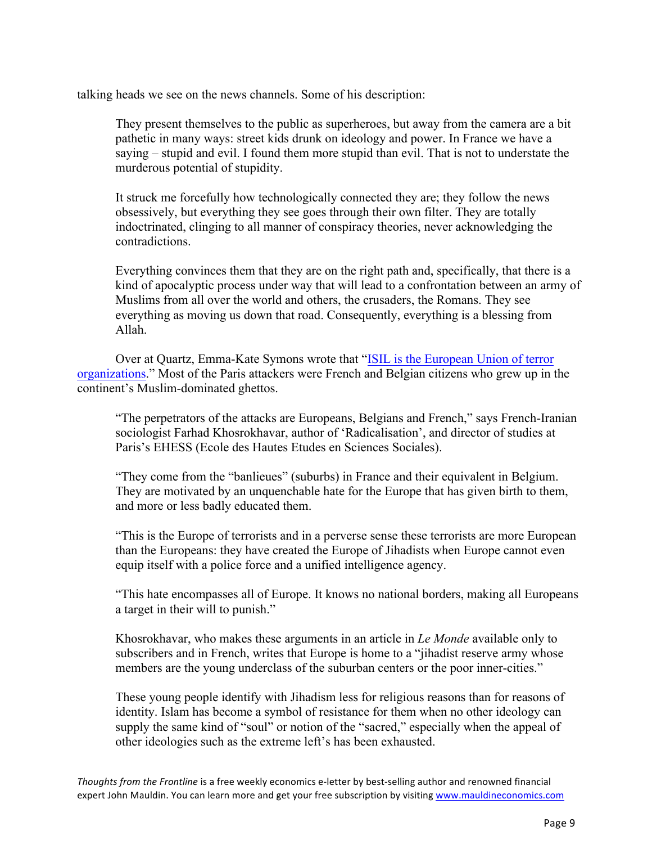talking heads we see on the news channels. Some of his description:

They present themselves to the public as superheroes, but away from the camera are a bit pathetic in many ways: street kids drunk on ideology and power. In France we have a saying – stupid and evil. I found them more stupid than evil. That is not to understate the murderous potential of stupidity.

It struck me forcefully how technologically connected they are; they follow the news obsessively, but everything they see goes through their own filter. They are totally indoctrinated, clinging to all manner of conspiracy theories, never acknowledging the contradictions.

Everything convinces them that they are on the right path and, specifically, that there is a kind of apocalyptic process under way that will lead to a confrontation between an army of Muslims from all over the world and others, the crusaders, the Romans. They see everything as moving us down that road. Consequently, everything is a blessing from Allah.

[Over at Quartz, Emma-Kate Symons wrote that "ISIL is the European Union of terror](http://qz.com/553782/isil-is-the-european-union-of-terror-organizations/)  organizations." Most of the Paris attackers were French and Belgian citizens who grew up in the continent's Muslim-dominated ghettos.

"The perpetrators of the attacks are Europeans, Belgians and French," says French-Iranian sociologist Farhad Khosrokhavar, author of 'Radicalisation', and director of studies at Paris's EHESS (Ecole des Hautes Etudes en Sciences Sociales).

"They come from the "banlieues" (suburbs) in France and their equivalent in Belgium. They are motivated by an unquenchable hate for the Europe that has given birth to them, and more or less badly educated them.

"This is the Europe of terrorists and in a perverse sense these terrorists are more European than the Europeans: they have created the Europe of Jihadists when Europe cannot even equip itself with a police force and a unified intelligence agency.

"This hate encompasses all of Europe. It knows no national borders, making all Europeans a target in their will to punish."

Khosrokhavar, who makes these arguments in an article in *Le Monde* available only to subscribers and in French, writes that Europe is home to a "jihadist reserve army whose members are the young underclass of the suburban centers or the poor inner-cities."

These young people identify with Jihadism less for religious reasons than for reasons of identity. Islam has become a symbol of resistance for them when no other ideology can supply the same kind of "soul" or notion of the "sacred," especially when the appeal of other ideologies such as the extreme left's has been exhausted.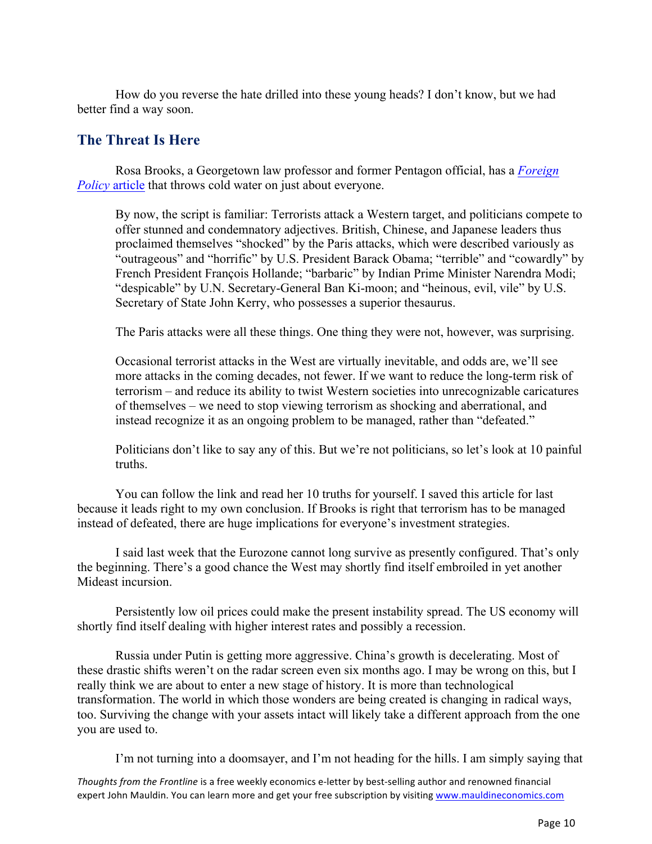How do you reverse the hate drilled into these young heads? I don't know, but we had better find a way soon.

# **The Threat Is Here**

[Rosa Brooks, a Georgetown law professor and former Pentagon official, has](https://foreignpolicy.com/2015/11/20/the-threat-is-already-inside-uncomfortable-truths-terrorism-isis/) a *Foreign Policy* article that throws cold water on just about everyone.

By now, the script is familiar: Terrorists attack a Western target, and politicians compete to offer stunned and condemnatory adjectives. British, Chinese, and Japanese leaders thus proclaimed themselves "shocked" by the Paris attacks, which were described variously as "outrageous" and "horrific" by U.S. President Barack Obama; "terrible" and "cowardly" by French President François Hollande; "barbaric" by Indian Prime Minister Narendra Modi; "despicable" by U.N. Secretary-General Ban Ki-moon; and "heinous, evil, vile" by U.S. Secretary of State John Kerry, who possesses a superior thesaurus.

The Paris attacks were all these things. One thing they were not, however, was surprising.

Occasional terrorist attacks in the West are virtually inevitable, and odds are, we'll see more attacks in the coming decades, not fewer. If we want to reduce the long-term risk of terrorism – and reduce its ability to twist Western societies into unrecognizable caricatures of themselves – we need to stop viewing terrorism as shocking and aberrational, and instead recognize it as an ongoing problem to be managed, rather than "defeated."

Politicians don't like to say any of this. But we're not politicians, so let's look at 10 painful truths.

You can follow the link and read her 10 truths for yourself. I saved this article for last because it leads right to my own conclusion. If Brooks is right that terrorism has to be managed instead of defeated, there are huge implications for everyone's investment strategies.

I said last week that the Eurozone cannot long survive as presently configured. That's only the beginning. There's a good chance the West may shortly find itself embroiled in yet another Mideast incursion.

Persistently low oil prices could make the present instability spread. The US economy will shortly find itself dealing with higher interest rates and possibly a recession.

Russia under Putin is getting more aggressive. China's growth is decelerating. Most of these drastic shifts weren't on the radar screen even six months ago. I may be wrong on this, but I really think we are about to enter a new stage of history. It is more than technological transformation. The world in which those wonders are being created is changing in radical ways, too. Surviving the change with your assets intact will likely take a different approach from the one you are used to.

I'm not turning into a doomsayer, and I'm not heading for the hills. I am simply saying that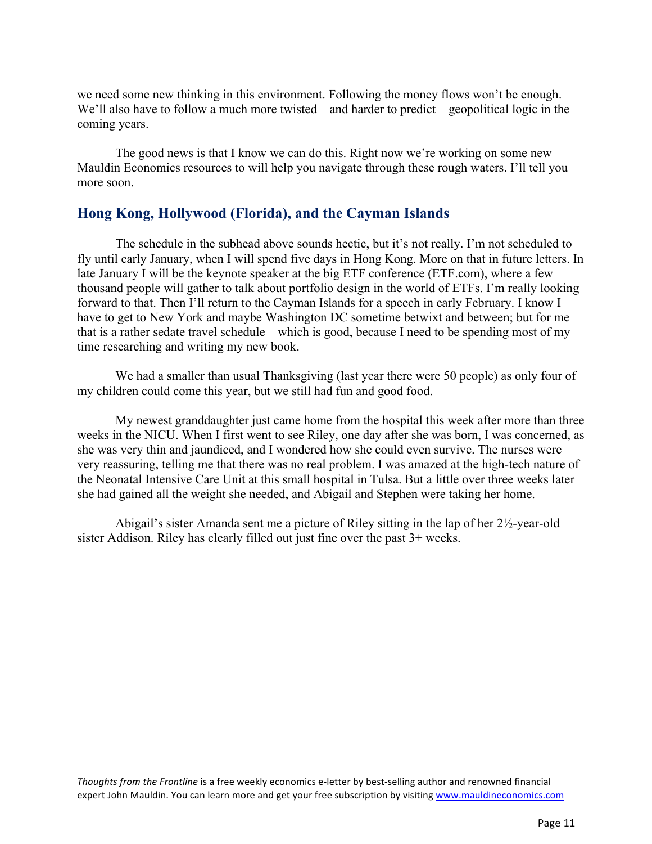we need some new thinking in this environment. Following the money flows won't be enough. We'll also have to follow a much more twisted – and harder to predict – geopolitical logic in the coming years.

The good news is that I know we can do this. Right now we're working on some new Mauldin Economics resources to will help you navigate through these rough waters. I'll tell you more soon.

# **Hong Kong, Hollywood (Florida), and the Cayman Islands**

The schedule in the subhead above sounds hectic, but it's not really. I'm not scheduled to fly until early January, when I will spend five days in Hong Kong. More on that in future letters. In late January I will be the keynote speaker at the big ETF conference (ETF.com), where a few thousand people will gather to talk about portfolio design in the world of ETFs. I'm really looking forward to that. Then I'll return to the Cayman Islands for a speech in early February. I know I have to get to New York and maybe Washington DC sometime betwixt and between; but for me that is a rather sedate travel schedule – which is good, because I need to be spending most of my time researching and writing my new book.

We had a smaller than usual Thanksgiving (last year there were 50 people) as only four of my children could come this year, but we still had fun and good food.

My newest granddaughter just came home from the hospital this week after more than three weeks in the NICU. When I first went to see Riley, one day after she was born, I was concerned, as she was very thin and jaundiced, and I wondered how she could even survive. The nurses were very reassuring, telling me that there was no real problem. I was amazed at the high-tech nature of the Neonatal Intensive Care Unit at this small hospital in Tulsa. But a little over three weeks later she had gained all the weight she needed, and Abigail and Stephen were taking her home.

Abigail's sister Amanda sent me a picture of Riley sitting in the lap of her  $2\frac{1}{2}$ -year-old sister Addison. Riley has clearly filled out just fine over the past 3+ weeks.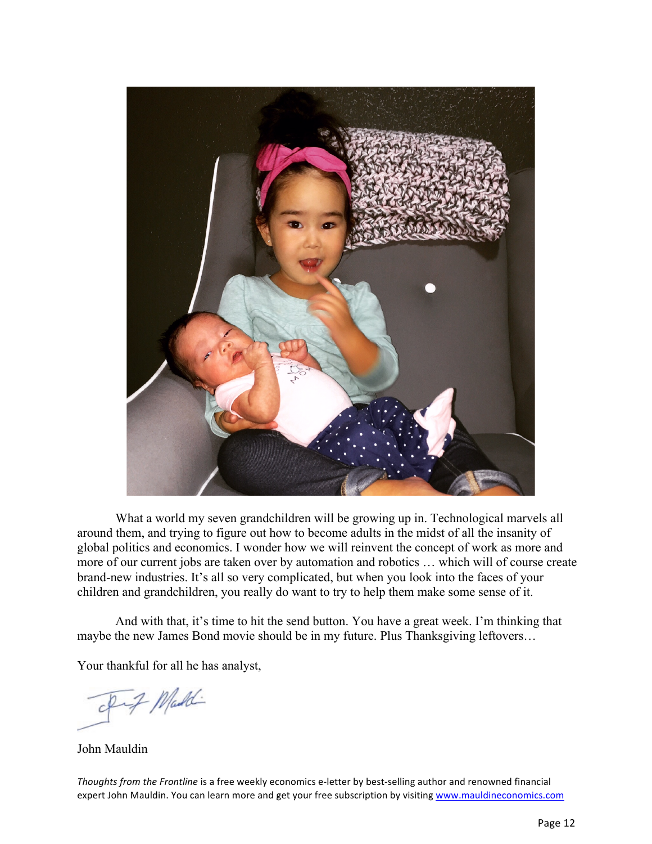

What a world my seven grandchildren will be growing up in. Technological marvels all around them, and trying to figure out how to become adults in the midst of all the insanity of global politics and economics. I wonder how we will reinvent the concept of work as more and more of our current jobs are taken over by automation and robotics … which will of course create brand-new industries. It's all so very complicated, but when you look into the faces of your children and grandchildren, you really do want to try to help them make some sense of it.

And with that, it's time to hit the send button. You have a great week. I'm thinking that maybe the new James Bond movie should be in my future. Plus Thanksgiving leftovers…

Your thankful for all he has analyst,

7 Maddi

John Mauldin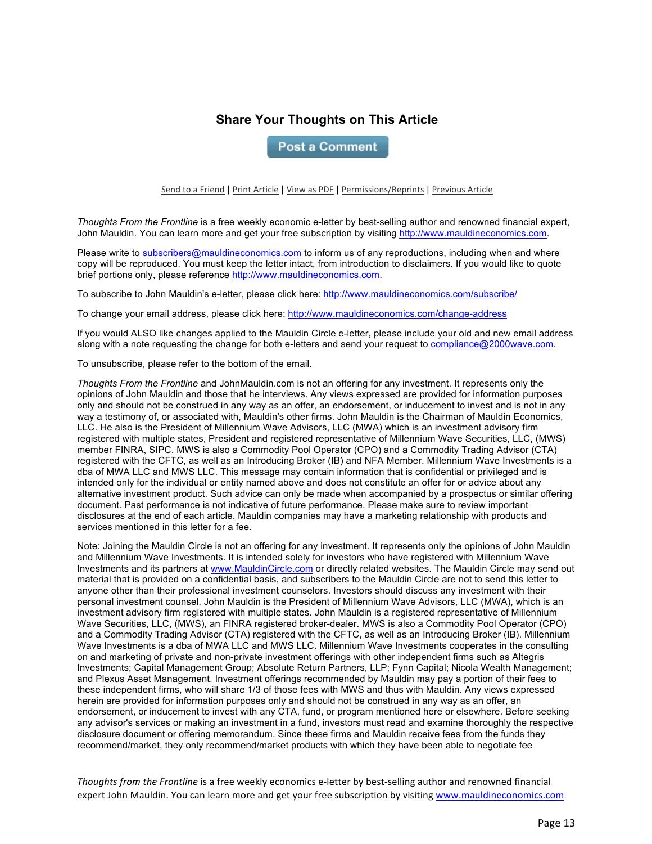## **Share Your Thoughts on This Article**

**Post a Comment** 

Send to a Friend | Print Article | View as PDF | Permissions/Reprints | Previous Article

*Thoughts From the Frontline* is a free weekly economic e-letter by best-selling author and renowned financial expert, John Mauldin. You can learn more and get your free subscription by visiting http://www.mauldineconomics.com.

Please write to subscribers@mauldineconomics.com to inform us of any reproductions, including when and where copy will be reproduced. You must keep the letter intact, from introduction to disclaimers. If you would like to quote brief portions only, please reference http://www.mauldineconomics.com.

To subscribe to John Mauldin's e-letter, please click here: http://www.mauldineconomics.com/subscribe/

To change your email address, please click here: http://www.mauldineconomics.com/change-address

If you would ALSO like changes applied to the Mauldin Circle e-letter, please include your old and new email address along with a note requesting the change for both e-letters and send your request to compliance@2000wave.com.

To unsubscribe, please refer to the bottom of the email.

*Thoughts From the Frontline* and JohnMauldin.com is not an offering for any investment. It represents only the opinions of John Mauldin and those that he interviews. Any views expressed are provided for information purposes only and should not be construed in any way as an offer, an endorsement, or inducement to invest and is not in any way a testimony of, or associated with, Mauldin's other firms. John Mauldin is the Chairman of Mauldin Economics, LLC. He also is the President of Millennium Wave Advisors, LLC (MWA) which is an investment advisory firm registered with multiple states, President and registered representative of Millennium Wave Securities, LLC, (MWS) member FINRA, SIPC. MWS is also a Commodity Pool Operator (CPO) and a Commodity Trading Advisor (CTA) registered with the CFTC, as well as an Introducing Broker (IB) and NFA Member. Millennium Wave Investments is a dba of MWA LLC and MWS LLC. This message may contain information that is confidential or privileged and is intended only for the individual or entity named above and does not constitute an offer for or advice about any alternative investment product. Such advice can only be made when accompanied by a prospectus or similar offering document. Past performance is not indicative of future performance. Please make sure to review important disclosures at the end of each article. Mauldin companies may have a marketing relationship with products and services mentioned in this letter for a fee.

Note: Joining the Mauldin Circle is not an offering for any investment. It represents only the opinions of John Mauldin and Millennium Wave Investments. It is intended solely for investors who have registered with Millennium Wave Investments and its partners at www.MauldinCircle.com or directly related websites. The Mauldin Circle may send out material that is provided on a confidential basis, and subscribers to the Mauldin Circle are not to send this letter to anyone other than their professional investment counselors. Investors should discuss any investment with their personal investment counsel. John Mauldin is the President of Millennium Wave Advisors, LLC (MWA), which is an investment advisory firm registered with multiple states. John Mauldin is a registered representative of Millennium Wave Securities, LLC, (MWS), an FINRA registered broker-dealer. MWS is also a Commodity Pool Operator (CPO) and a Commodity Trading Advisor (CTA) registered with the CFTC, as well as an Introducing Broker (IB). Millennium Wave Investments is a dba of MWA LLC and MWS LLC. Millennium Wave Investments cooperates in the consulting on and marketing of private and non-private investment offerings with other independent firms such as Altegris Investments; Capital Management Group; Absolute Return Partners, LLP; Fynn Capital; Nicola Wealth Management; and Plexus Asset Management. Investment offerings recommended by Mauldin may pay a portion of their fees to these independent firms, who will share 1/3 of those fees with MWS and thus with Mauldin. Any views expressed herein are provided for information purposes only and should not be construed in any way as an offer, an endorsement, or inducement to invest with any CTA, fund, or program mentioned here or elsewhere. Before seeking any advisor's services or making an investment in a fund, investors must read and examine thoroughly the respective disclosure document or offering memorandum. Since these firms and Mauldin receive fees from the funds they recommend/market, they only recommend/market products with which they have been able to negotiate fee